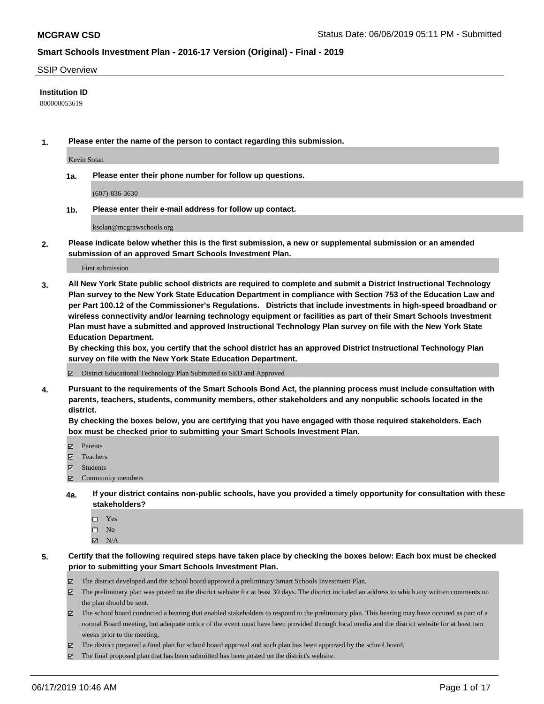#### SSIP Overview

### **Institution ID**

800000053619

**1. Please enter the name of the person to contact regarding this submission.**

Kevin Solan

**1a. Please enter their phone number for follow up questions.**

(607)-836-3630

**1b. Please enter their e-mail address for follow up contact.**

ksolan@mcgrawschools.org

**2. Please indicate below whether this is the first submission, a new or supplemental submission or an amended submission of an approved Smart Schools Investment Plan.**

First submission

**3. All New York State public school districts are required to complete and submit a District Instructional Technology Plan survey to the New York State Education Department in compliance with Section 753 of the Education Law and per Part 100.12 of the Commissioner's Regulations. Districts that include investments in high-speed broadband or wireless connectivity and/or learning technology equipment or facilities as part of their Smart Schools Investment Plan must have a submitted and approved Instructional Technology Plan survey on file with the New York State Education Department.** 

**By checking this box, you certify that the school district has an approved District Instructional Technology Plan survey on file with the New York State Education Department.**

District Educational Technology Plan Submitted to SED and Approved

**4. Pursuant to the requirements of the Smart Schools Bond Act, the planning process must include consultation with parents, teachers, students, community members, other stakeholders and any nonpublic schools located in the district.** 

**By checking the boxes below, you are certifying that you have engaged with those required stakeholders. Each box must be checked prior to submitting your Smart Schools Investment Plan.**

- Parents
- Teachers
- Students
- Community members
- **4a. If your district contains non-public schools, have you provided a timely opportunity for consultation with these stakeholders?**
	- □ Yes
	- $\square$  No
	- $N/A$

**5. Certify that the following required steps have taken place by checking the boxes below: Each box must be checked prior to submitting your Smart Schools Investment Plan.**

- The district developed and the school board approved a preliminary Smart Schools Investment Plan.
- $\boxtimes$  The preliminary plan was posted on the district website for at least 30 days. The district included an address to which any written comments on the plan should be sent.
- $\boxtimes$  The school board conducted a hearing that enabled stakeholders to respond to the preliminary plan. This hearing may have occured as part of a normal Board meeting, but adequate notice of the event must have been provided through local media and the district website for at least two weeks prior to the meeting.
- The district prepared a final plan for school board approval and such plan has been approved by the school board.
- $\boxtimes$  The final proposed plan that has been submitted has been posted on the district's website.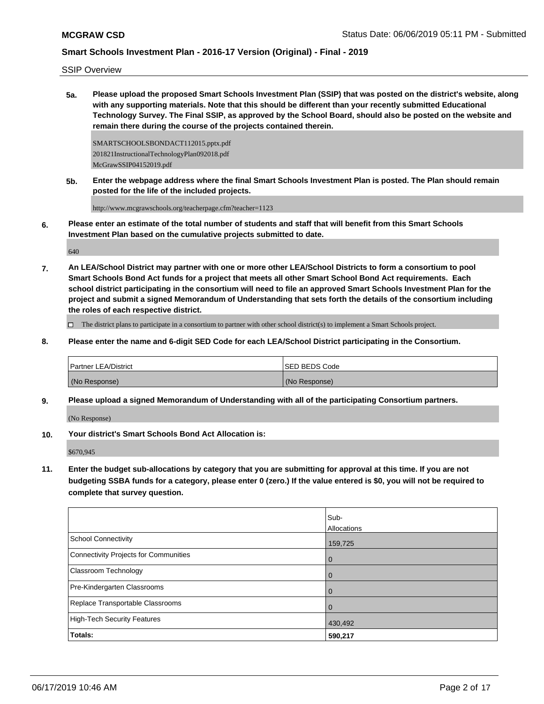SSIP Overview

**5a. Please upload the proposed Smart Schools Investment Plan (SSIP) that was posted on the district's website, along with any supporting materials. Note that this should be different than your recently submitted Educational Technology Survey. The Final SSIP, as approved by the School Board, should also be posted on the website and remain there during the course of the projects contained therein.**

SMARTSCHOOLSBONDACT112015.pptx.pdf 201821InstructionalTechnologyPlan092018.pdf McGrawSSIP04152019.pdf

**5b. Enter the webpage address where the final Smart Schools Investment Plan is posted. The Plan should remain posted for the life of the included projects.**

http://www.mcgrawschools.org/teacherpage.cfm?teacher=1123

**6. Please enter an estimate of the total number of students and staff that will benefit from this Smart Schools Investment Plan based on the cumulative projects submitted to date.**

640

**7. An LEA/School District may partner with one or more other LEA/School Districts to form a consortium to pool Smart Schools Bond Act funds for a project that meets all other Smart School Bond Act requirements. Each school district participating in the consortium will need to file an approved Smart Schools Investment Plan for the project and submit a signed Memorandum of Understanding that sets forth the details of the consortium including the roles of each respective district.**

 $\Box$  The district plans to participate in a consortium to partner with other school district(s) to implement a Smart Schools project.

**8. Please enter the name and 6-digit SED Code for each LEA/School District participating in the Consortium.**

| <b>Partner LEA/District</b> | <b>ISED BEDS Code</b> |
|-----------------------------|-----------------------|
| (No Response)               | (No Response)         |

**9. Please upload a signed Memorandum of Understanding with all of the participating Consortium partners.**

(No Response)

**10. Your district's Smart Schools Bond Act Allocation is:**

\$670,945

**11. Enter the budget sub-allocations by category that you are submitting for approval at this time. If you are not budgeting SSBA funds for a category, please enter 0 (zero.) If the value entered is \$0, you will not be required to complete that survey question.**

|                                       | Sub-        |
|---------------------------------------|-------------|
|                                       | Allocations |
| School Connectivity                   | 159,725     |
| Connectivity Projects for Communities | 0           |
| Classroom Technology                  | 0           |
| Pre-Kindergarten Classrooms           | 0           |
| Replace Transportable Classrooms      | 0           |
| High-Tech Security Features           | 430,492     |
| <b>Totals:</b>                        | 590,217     |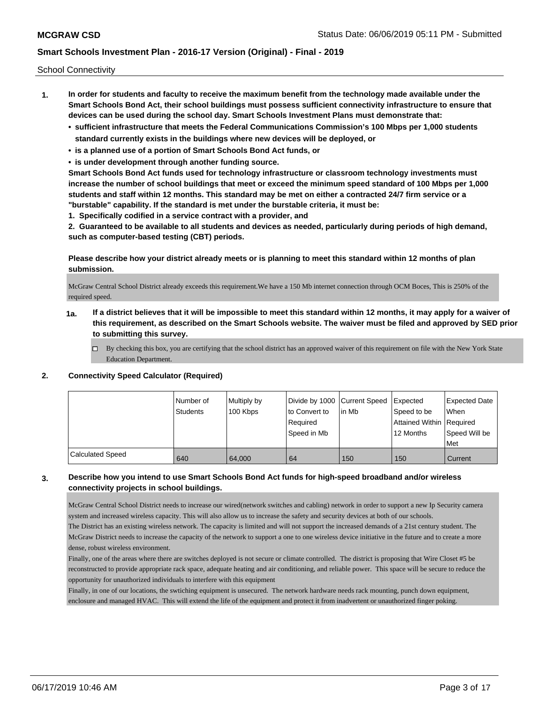School Connectivity

- **1. In order for students and faculty to receive the maximum benefit from the technology made available under the Smart Schools Bond Act, their school buildings must possess sufficient connectivity infrastructure to ensure that devices can be used during the school day. Smart Schools Investment Plans must demonstrate that:**
	- **• sufficient infrastructure that meets the Federal Communications Commission's 100 Mbps per 1,000 students standard currently exists in the buildings where new devices will be deployed, or**
	- **• is a planned use of a portion of Smart Schools Bond Act funds, or**
	- **• is under development through another funding source.**

**Smart Schools Bond Act funds used for technology infrastructure or classroom technology investments must increase the number of school buildings that meet or exceed the minimum speed standard of 100 Mbps per 1,000 students and staff within 12 months. This standard may be met on either a contracted 24/7 firm service or a "burstable" capability. If the standard is met under the burstable criteria, it must be:**

**1. Specifically codified in a service contract with a provider, and**

**2. Guaranteed to be available to all students and devices as needed, particularly during periods of high demand, such as computer-based testing (CBT) periods.**

## **Please describe how your district already meets or is planning to meet this standard within 12 months of plan submission.**

McGraw Central School District already exceeds this requirement.We have a 150 Mb internet connection through OCM Boces, This is 250% of the required speed.

- **1a. If a district believes that it will be impossible to meet this standard within 12 months, it may apply for a waiver of this requirement, as described on the Smart Schools website. The waiver must be filed and approved by SED prior to submitting this survey.**
	- $\Box$  By checking this box, you are certifying that the school district has an approved waiver of this requirement on file with the New York State Education Department.

### **2. Connectivity Speed Calculator (Required)**

|                         | Number of<br>Students | Multiply by<br>100 Kbps | Divide by 1000 Current Speed<br>to Convert to<br>Required<br>Speed in Mb | l in Mb | <b>I</b> Expected<br>Speed to be<br>Attained Within   Required<br>12 Months | <b>Expected Date</b><br>When<br>Speed Will be<br>Met |
|-------------------------|-----------------------|-------------------------|--------------------------------------------------------------------------|---------|-----------------------------------------------------------------------------|------------------------------------------------------|
| <b>Calculated Speed</b> | 640                   | 64,000                  | 64                                                                       | 150     | 150                                                                         | Current                                              |

## **3. Describe how you intend to use Smart Schools Bond Act funds for high-speed broadband and/or wireless connectivity projects in school buildings.**

McGraw Central School District needs to increase our wired(network switches and cabling) network in order to support a new Ip Security camera system and increased wireless capacity. This will also allow us to increase the safety and security devices at both of our schools. The District has an existing wireless network. The capacity is limited and will not support the increased demands of a 21st century student. The McGraw District needs to increase the capacity of the network to support a one to one wireless device initiative in the future and to create a more dense, robust wireless environment.

Finally, one of the areas where there are switches deployed is not secure or climate controlled. The district is proposing that Wire Closet #5 be reconstructed to provide appropriate rack space, adequate heating and air conditioning, and reliable power. This space will be secure to reduce the opportunity for unauthorized individuals to interfere with this equipment

Finally, in one of our locations, the swtiching equipment is unsecured. The network hardware needs rack mounting, punch down equipment, enclosure and managed HVAC. This will extend the life of the equipment and protect it from inadvertent or unauthorized finger poking.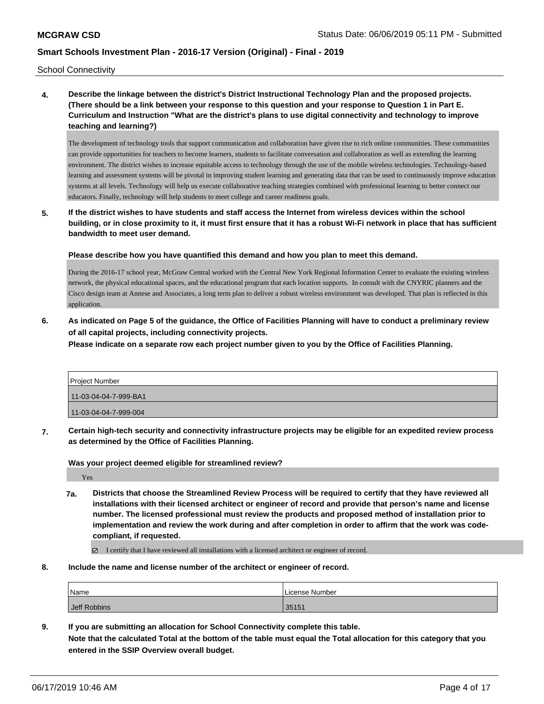School Connectivity

**4. Describe the linkage between the district's District Instructional Technology Plan and the proposed projects. (There should be a link between your response to this question and your response to Question 1 in Part E. Curriculum and Instruction "What are the district's plans to use digital connectivity and technology to improve teaching and learning?)**

The development of technology tools that support communication and collaboration have given rise to rich online communities. These communities can provide opportunities for teachers to become learners, students to facilitate conversation and collaboration as well as extending the learning environment. The district wishes to increase equitable access to technology through the use of the mobile wireless technologies. Technology-based learning and assessment systems will be pivotal in improving student learning and generating data that can be used to continuously improve education systems at all levels. Technology will help us execute collaborative teaching strategies combined with professional learning to better connect our educators. Finally, technology will help students to meet college and career readiness goals.

**5. If the district wishes to have students and staff access the Internet from wireless devices within the school building, or in close proximity to it, it must first ensure that it has a robust Wi-Fi network in place that has sufficient bandwidth to meet user demand.**

**Please describe how you have quantified this demand and how you plan to meet this demand.**

During the 2016-17 school year, McGraw Central worked with the Central New York Regional Information Center to evaluate the existing wireless network, the physical educational spaces, and the educational program that each location supports. In consult with the CNYRIC planners and the Cisco design team at Annese and Associates, a long term plan to deliver a robust wireless environment was developed. That plan is reflected in this application.

**6. As indicated on Page 5 of the guidance, the Office of Facilities Planning will have to conduct a preliminary review of all capital projects, including connectivity projects.**

**Please indicate on a separate row each project number given to you by the Office of Facilities Planning.**

| <b>Project Number</b> |
|-----------------------|
| 11-03-04-04-7-999-BA1 |
| 11-03-04-04-7-999-004 |

**7. Certain high-tech security and connectivity infrastructure projects may be eligible for an expedited review process as determined by the Office of Facilities Planning.**

**Was your project deemed eligible for streamlined review?**

Yes

**7a. Districts that choose the Streamlined Review Process will be required to certify that they have reviewed all installations with their licensed architect or engineer of record and provide that person's name and license number. The licensed professional must review the products and proposed method of installation prior to implementation and review the work during and after completion in order to affirm that the work was codecompliant, if requested.**

I certify that I have reviewed all installations with a licensed architect or engineer of record.

**8. Include the name and license number of the architect or engineer of record.**

| Name         | License Number |
|--------------|----------------|
| Jeff Robbins | 35151          |

**9. If you are submitting an allocation for School Connectivity complete this table. Note that the calculated Total at the bottom of the table must equal the Total allocation for this category that you entered in the SSIP Overview overall budget.**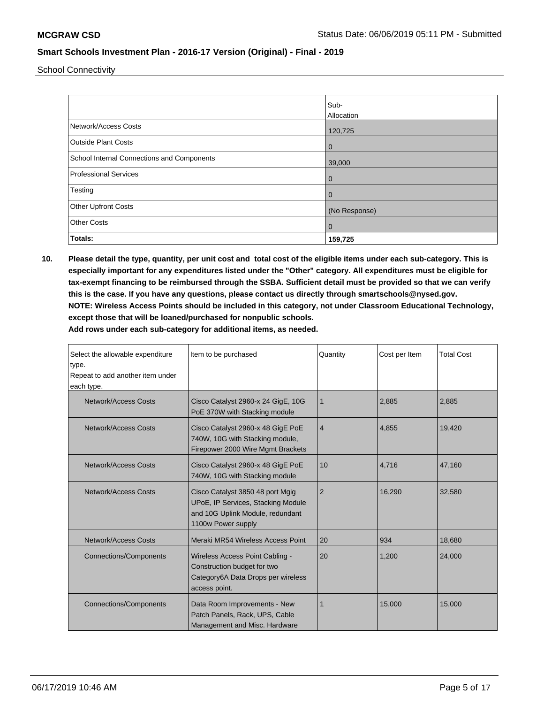School Connectivity

|                                            | Sub-           |
|--------------------------------------------|----------------|
|                                            | Allocation     |
| Network/Access Costs                       | 120,725        |
| <b>Outside Plant Costs</b>                 | $\overline{0}$ |
| School Internal Connections and Components | 39,000         |
| Professional Services                      | $\overline{0}$ |
| Testing                                    | $\overline{0}$ |
| <b>Other Upfront Costs</b>                 | (No Response)  |
| <b>Other Costs</b>                         | $\mathbf 0$    |
| Totals:                                    | 159,725        |

**10. Please detail the type, quantity, per unit cost and total cost of the eligible items under each sub-category. This is especially important for any expenditures listed under the "Other" category. All expenditures must be eligible for tax-exempt financing to be reimbursed through the SSBA. Sufficient detail must be provided so that we can verify this is the case. If you have any questions, please contact us directly through smartschools@nysed.gov. NOTE: Wireless Access Points should be included in this category, not under Classroom Educational Technology, except those that will be loaned/purchased for nonpublic schools.**

| Select the allowable expenditure<br>type.<br>Repeat to add another item under<br>each type.                                                              | Item to be purchased                                                                                                  | Quantity       | Cost per Item | <b>Total Cost</b> |
|----------------------------------------------------------------------------------------------------------------------------------------------------------|-----------------------------------------------------------------------------------------------------------------------|----------------|---------------|-------------------|
| Network/Access Costs                                                                                                                                     | Cisco Catalyst 2960-x 24 GigE, 10G<br>PoE 370W with Stacking module                                                   | 1              | 2,885         | 2,885             |
| Network/Access Costs                                                                                                                                     | Cisco Catalyst 2960-x 48 GigE PoE<br>740W, 10G with Stacking module,<br>Firepower 2000 Wire Mgmt Brackets             | $\overline{4}$ | 4,855         | 19,420            |
| Network/Access Costs                                                                                                                                     | Cisco Catalyst 2960-x 48 GigE PoE<br>740W, 10G with Stacking module                                                   | 10             | 4.716         | 47,160            |
| Network/Access Costs<br>Cisco Catalyst 3850 48 port Mgig<br>UPoE, IP Services, Stacking Module<br>and 10G Uplink Module, redundant<br>1100w Power supply |                                                                                                                       | $\overline{2}$ | 16,290        | 32,580            |
| <b>Network/Access Costs</b>                                                                                                                              | Meraki MR54 Wireless Access Point                                                                                     | 20             | 934           | 18,680            |
| <b>Connections/Components</b>                                                                                                                            | Wireless Access Point Cabling -<br>Construction budget for two<br>Category6A Data Drops per wireless<br>access point. | 20             | 1,200         | 24,000            |
| <b>Connections/Components</b>                                                                                                                            | Data Room Improvements - New<br>Patch Panels, Rack, UPS, Cable<br>Management and Misc. Hardware                       | 1              | 15,000        | 15,000            |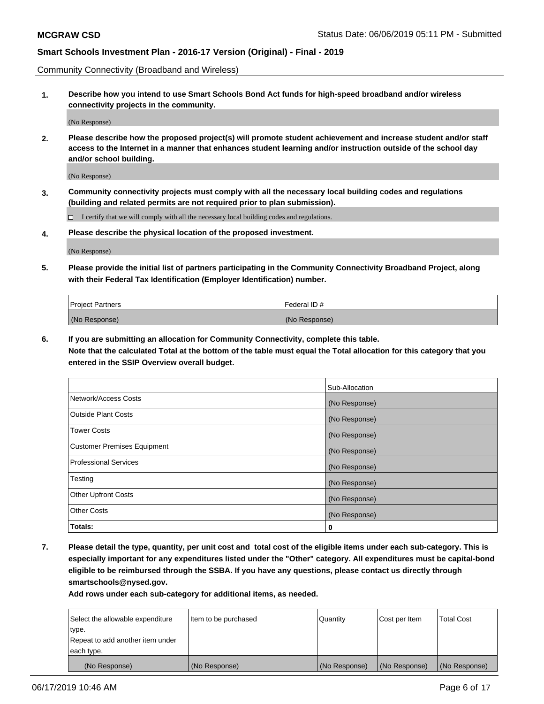Community Connectivity (Broadband and Wireless)

**1. Describe how you intend to use Smart Schools Bond Act funds for high-speed broadband and/or wireless connectivity projects in the community.**

(No Response)

**2. Please describe how the proposed project(s) will promote student achievement and increase student and/or staff access to the Internet in a manner that enhances student learning and/or instruction outside of the school day and/or school building.**

(No Response)

**3. Community connectivity projects must comply with all the necessary local building codes and regulations (building and related permits are not required prior to plan submission).**

 $\Box$  I certify that we will comply with all the necessary local building codes and regulations.

**4. Please describe the physical location of the proposed investment.**

(No Response)

**5. Please provide the initial list of partners participating in the Community Connectivity Broadband Project, along with their Federal Tax Identification (Employer Identification) number.**

| <b>Project Partners</b> | Federal ID#   |
|-------------------------|---------------|
| (No Response)           | (No Response) |

**6. If you are submitting an allocation for Community Connectivity, complete this table.**

**Note that the calculated Total at the bottom of the table must equal the Total allocation for this category that you entered in the SSIP Overview overall budget.**

|                                    | Sub-Allocation |
|------------------------------------|----------------|
| Network/Access Costs               | (No Response)  |
| <b>Outside Plant Costs</b>         | (No Response)  |
| <b>Tower Costs</b>                 | (No Response)  |
| <b>Customer Premises Equipment</b> | (No Response)  |
| <b>Professional Services</b>       | (No Response)  |
| Testing                            | (No Response)  |
| <b>Other Upfront Costs</b>         | (No Response)  |
| <b>Other Costs</b>                 | (No Response)  |
| Totals:                            | 0              |

**7. Please detail the type, quantity, per unit cost and total cost of the eligible items under each sub-category. This is especially important for any expenditures listed under the "Other" category. All expenditures must be capital-bond eligible to be reimbursed through the SSBA. If you have any questions, please contact us directly through smartschools@nysed.gov.**

| Select the allowable expenditure | Item to be purchased | Quantity      | Cost per Item | <b>Total Cost</b> |
|----------------------------------|----------------------|---------------|---------------|-------------------|
| type.                            |                      |               |               |                   |
| Repeat to add another item under |                      |               |               |                   |
| each type.                       |                      |               |               |                   |
| (No Response)                    | (No Response)        | (No Response) | (No Response) | (No Response)     |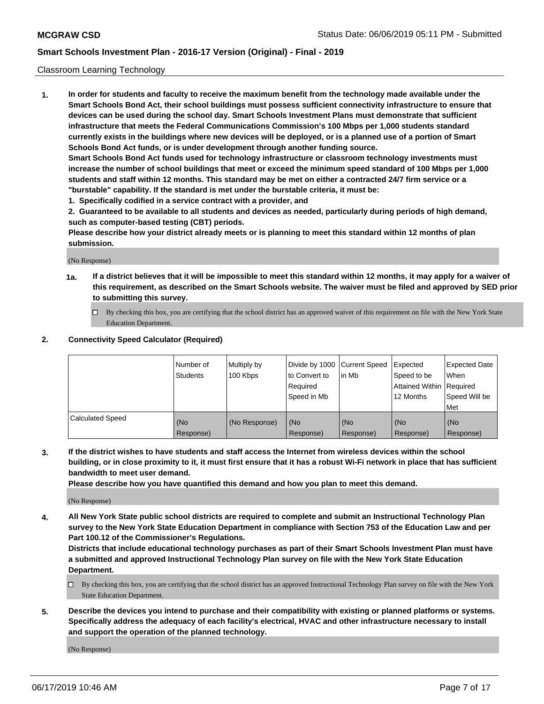### Classroom Learning Technology

**1. In order for students and faculty to receive the maximum benefit from the technology made available under the Smart Schools Bond Act, their school buildings must possess sufficient connectivity infrastructure to ensure that devices can be used during the school day. Smart Schools Investment Plans must demonstrate that sufficient infrastructure that meets the Federal Communications Commission's 100 Mbps per 1,000 students standard currently exists in the buildings where new devices will be deployed, or is a planned use of a portion of Smart Schools Bond Act funds, or is under development through another funding source. Smart Schools Bond Act funds used for technology infrastructure or classroom technology investments must increase the number of school buildings that meet or exceed the minimum speed standard of 100 Mbps per 1,000**

**students and staff within 12 months. This standard may be met on either a contracted 24/7 firm service or a "burstable" capability. If the standard is met under the burstable criteria, it must be:**

**1. Specifically codified in a service contract with a provider, and**

**2. Guaranteed to be available to all students and devices as needed, particularly during periods of high demand, such as computer-based testing (CBT) periods.**

**Please describe how your district already meets or is planning to meet this standard within 12 months of plan submission.**

(No Response)

- **1a. If a district believes that it will be impossible to meet this standard within 12 months, it may apply for a waiver of this requirement, as described on the Smart Schools website. The waiver must be filed and approved by SED prior to submitting this survey.**
	- By checking this box, you are certifying that the school district has an approved waiver of this requirement on file with the New York State Education Department.

#### **2. Connectivity Speed Calculator (Required)**

|                         | l Number of<br>Students | Multiply by<br>100 Kbps | to Convert to<br>Required<br>Speed in Mb | Divide by 1000 Current Speed Expected<br>lin Mb | Speed to be<br>Attained Within Required<br>12 Months | Expected Date<br>When<br>Speed Will be<br>Met |
|-------------------------|-------------------------|-------------------------|------------------------------------------|-------------------------------------------------|------------------------------------------------------|-----------------------------------------------|
| <b>Calculated Speed</b> | (No<br>Response)        | (No Response)           | (No<br>Response)                         | (No<br>Response)                                | (No<br>Response)                                     | (No<br>Response)                              |

**3. If the district wishes to have students and staff access the Internet from wireless devices within the school building, or in close proximity to it, it must first ensure that it has a robust Wi-Fi network in place that has sufficient bandwidth to meet user demand.**

**Please describe how you have quantified this demand and how you plan to meet this demand.**

(No Response)

**4. All New York State public school districts are required to complete and submit an Instructional Technology Plan survey to the New York State Education Department in compliance with Section 753 of the Education Law and per Part 100.12 of the Commissioner's Regulations.**

**Districts that include educational technology purchases as part of their Smart Schools Investment Plan must have a submitted and approved Instructional Technology Plan survey on file with the New York State Education Department.**

- $\Box$  By checking this box, you are certifying that the school district has an approved Instructional Technology Plan survey on file with the New York State Education Department.
- **5. Describe the devices you intend to purchase and their compatibility with existing or planned platforms or systems. Specifically address the adequacy of each facility's electrical, HVAC and other infrastructure necessary to install and support the operation of the planned technology.**

(No Response)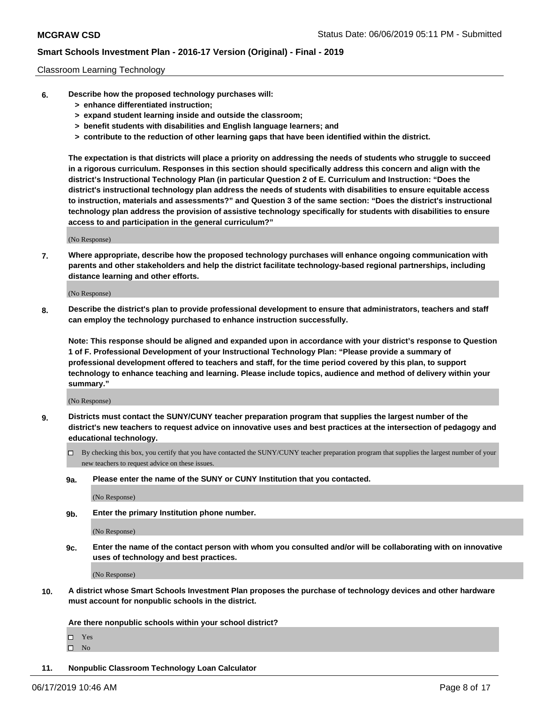#### Classroom Learning Technology

- **6. Describe how the proposed technology purchases will:**
	- **> enhance differentiated instruction;**
	- **> expand student learning inside and outside the classroom;**
	- **> benefit students with disabilities and English language learners; and**
	- **> contribute to the reduction of other learning gaps that have been identified within the district.**

**The expectation is that districts will place a priority on addressing the needs of students who struggle to succeed in a rigorous curriculum. Responses in this section should specifically address this concern and align with the district's Instructional Technology Plan (in particular Question 2 of E. Curriculum and Instruction: "Does the district's instructional technology plan address the needs of students with disabilities to ensure equitable access to instruction, materials and assessments?" and Question 3 of the same section: "Does the district's instructional technology plan address the provision of assistive technology specifically for students with disabilities to ensure access to and participation in the general curriculum?"**

(No Response)

**7. Where appropriate, describe how the proposed technology purchases will enhance ongoing communication with parents and other stakeholders and help the district facilitate technology-based regional partnerships, including distance learning and other efforts.**

(No Response)

**8. Describe the district's plan to provide professional development to ensure that administrators, teachers and staff can employ the technology purchased to enhance instruction successfully.**

**Note: This response should be aligned and expanded upon in accordance with your district's response to Question 1 of F. Professional Development of your Instructional Technology Plan: "Please provide a summary of professional development offered to teachers and staff, for the time period covered by this plan, to support technology to enhance teaching and learning. Please include topics, audience and method of delivery within your summary."**

(No Response)

- **9. Districts must contact the SUNY/CUNY teacher preparation program that supplies the largest number of the district's new teachers to request advice on innovative uses and best practices at the intersection of pedagogy and educational technology.**
	- By checking this box, you certify that you have contacted the SUNY/CUNY teacher preparation program that supplies the largest number of your new teachers to request advice on these issues.
	- **9a. Please enter the name of the SUNY or CUNY Institution that you contacted.**

(No Response)

**9b. Enter the primary Institution phone number.**

(No Response)

**9c. Enter the name of the contact person with whom you consulted and/or will be collaborating with on innovative uses of technology and best practices.**

(No Response)

**10. A district whose Smart Schools Investment Plan proposes the purchase of technology devices and other hardware must account for nonpublic schools in the district.**

**Are there nonpublic schools within your school district?**

Yes

 $\square$  No

**11. Nonpublic Classroom Technology Loan Calculator**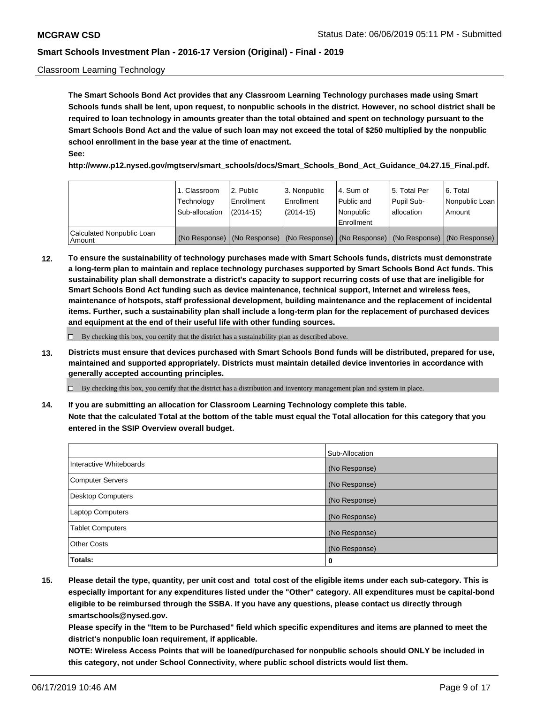### Classroom Learning Technology

**The Smart Schools Bond Act provides that any Classroom Learning Technology purchases made using Smart Schools funds shall be lent, upon request, to nonpublic schools in the district. However, no school district shall be required to loan technology in amounts greater than the total obtained and spent on technology pursuant to the Smart Schools Bond Act and the value of such loan may not exceed the total of \$250 multiplied by the nonpublic school enrollment in the base year at the time of enactment. See:**

**http://www.p12.nysed.gov/mgtserv/smart\_schools/docs/Smart\_Schools\_Bond\_Act\_Guidance\_04.27.15\_Final.pdf.**

|                                       | 1. Classroom<br>Technology<br>Sub-allocation | 2. Public<br>l Enrollment<br>$(2014-15)$ | l 3. Nonpublic<br>l Enrollment<br>$(2014 - 15)$ | l 4. Sum of<br>Public and<br>l Nonpublic<br>Enrollment                                        | 15. Total Per<br>Pupil Sub-<br>l allocation | l 6. Total<br>Nonpublic Loan<br>Amount |
|---------------------------------------|----------------------------------------------|------------------------------------------|-------------------------------------------------|-----------------------------------------------------------------------------------------------|---------------------------------------------|----------------------------------------|
| Calculated Nonpublic Loan<br>l Amount |                                              |                                          |                                                 | (No Response)   (No Response)   (No Response)   (No Response)   (No Response)   (No Response) |                                             |                                        |

**12. To ensure the sustainability of technology purchases made with Smart Schools funds, districts must demonstrate a long-term plan to maintain and replace technology purchases supported by Smart Schools Bond Act funds. This sustainability plan shall demonstrate a district's capacity to support recurring costs of use that are ineligible for Smart Schools Bond Act funding such as device maintenance, technical support, Internet and wireless fees, maintenance of hotspots, staff professional development, building maintenance and the replacement of incidental items. Further, such a sustainability plan shall include a long-term plan for the replacement of purchased devices and equipment at the end of their useful life with other funding sources.**

 $\Box$  By checking this box, you certify that the district has a sustainability plan as described above.

**13. Districts must ensure that devices purchased with Smart Schools Bond funds will be distributed, prepared for use, maintained and supported appropriately. Districts must maintain detailed device inventories in accordance with generally accepted accounting principles.**

By checking this box, you certify that the district has a distribution and inventory management plan and system in place.

**14. If you are submitting an allocation for Classroom Learning Technology complete this table. Note that the calculated Total at the bottom of the table must equal the Total allocation for this category that you entered in the SSIP Overview overall budget.**

|                          | Sub-Allocation |
|--------------------------|----------------|
| Interactive Whiteboards  | (No Response)  |
| <b>Computer Servers</b>  | (No Response)  |
| <b>Desktop Computers</b> | (No Response)  |
| <b>Laptop Computers</b>  | (No Response)  |
| <b>Tablet Computers</b>  | (No Response)  |
| <b>Other Costs</b>       | (No Response)  |
| Totals:                  | 0              |

**15. Please detail the type, quantity, per unit cost and total cost of the eligible items under each sub-category. This is especially important for any expenditures listed under the "Other" category. All expenditures must be capital-bond eligible to be reimbursed through the SSBA. If you have any questions, please contact us directly through smartschools@nysed.gov.**

**Please specify in the "Item to be Purchased" field which specific expenditures and items are planned to meet the district's nonpublic loan requirement, if applicable.**

**NOTE: Wireless Access Points that will be loaned/purchased for nonpublic schools should ONLY be included in this category, not under School Connectivity, where public school districts would list them.**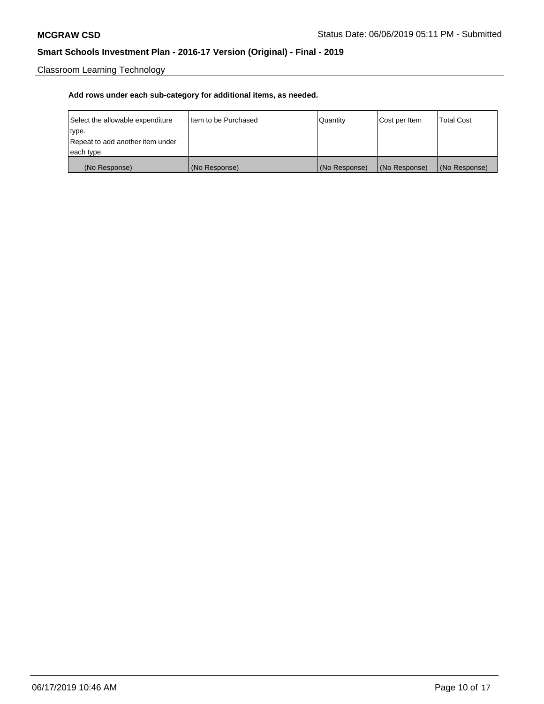Classroom Learning Technology

| Select the allowable expenditure | Iltem to be Purchased | Quantity      | Cost per Item | <b>Total Cost</b> |
|----------------------------------|-----------------------|---------------|---------------|-------------------|
| type.                            |                       |               |               |                   |
| Repeat to add another item under |                       |               |               |                   |
| each type.                       |                       |               |               |                   |
| (No Response)                    | (No Response)         | (No Response) | (No Response) | (No Response)     |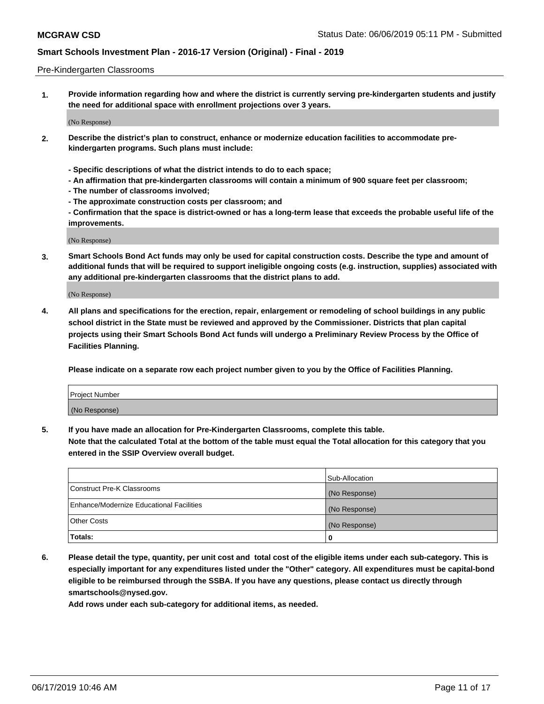#### Pre-Kindergarten Classrooms

**1. Provide information regarding how and where the district is currently serving pre-kindergarten students and justify the need for additional space with enrollment projections over 3 years.**

(No Response)

- **2. Describe the district's plan to construct, enhance or modernize education facilities to accommodate prekindergarten programs. Such plans must include:**
	- **Specific descriptions of what the district intends to do to each space;**
	- **An affirmation that pre-kindergarten classrooms will contain a minimum of 900 square feet per classroom;**
	- **The number of classrooms involved;**
	- **The approximate construction costs per classroom; and**
	- **Confirmation that the space is district-owned or has a long-term lease that exceeds the probable useful life of the improvements.**

(No Response)

**3. Smart Schools Bond Act funds may only be used for capital construction costs. Describe the type and amount of additional funds that will be required to support ineligible ongoing costs (e.g. instruction, supplies) associated with any additional pre-kindergarten classrooms that the district plans to add.**

(No Response)

**4. All plans and specifications for the erection, repair, enlargement or remodeling of school buildings in any public school district in the State must be reviewed and approved by the Commissioner. Districts that plan capital projects using their Smart Schools Bond Act funds will undergo a Preliminary Review Process by the Office of Facilities Planning.**

**Please indicate on a separate row each project number given to you by the Office of Facilities Planning.**

| Project Number |  |
|----------------|--|
| (No Response)  |  |
|                |  |

**5. If you have made an allocation for Pre-Kindergarten Classrooms, complete this table.**

**Note that the calculated Total at the bottom of the table must equal the Total allocation for this category that you entered in the SSIP Overview overall budget.**

|                                          | Sub-Allocation |
|------------------------------------------|----------------|
| Construct Pre-K Classrooms               | (No Response)  |
| Enhance/Modernize Educational Facilities | (No Response)  |
| <b>Other Costs</b>                       | (No Response)  |
| Totals:                                  | 0              |

**6. Please detail the type, quantity, per unit cost and total cost of the eligible items under each sub-category. This is especially important for any expenditures listed under the "Other" category. All expenditures must be capital-bond eligible to be reimbursed through the SSBA. If you have any questions, please contact us directly through smartschools@nysed.gov.**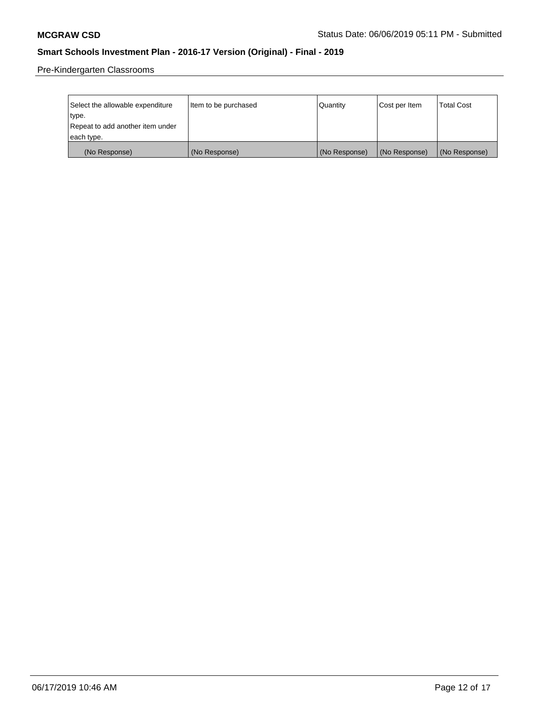Pre-Kindergarten Classrooms

| Select the allowable expenditure<br>type. | Item to be purchased | l Quantitv    | Cost per Item | <b>Total Cost</b> |
|-------------------------------------------|----------------------|---------------|---------------|-------------------|
| Repeat to add another item under          |                      |               |               |                   |
| each type.                                |                      |               |               |                   |
| (No Response)                             | (No Response)        | (No Response) | (No Response) | (No Response)     |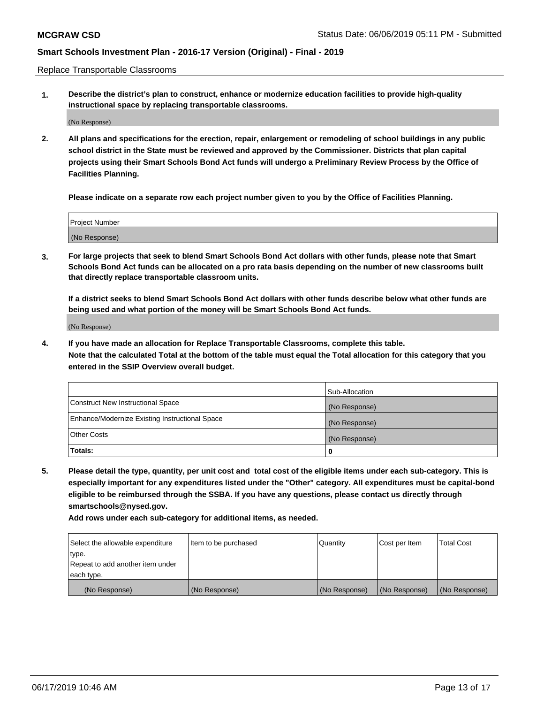Replace Transportable Classrooms

**1. Describe the district's plan to construct, enhance or modernize education facilities to provide high-quality instructional space by replacing transportable classrooms.**

(No Response)

**2. All plans and specifications for the erection, repair, enlargement or remodeling of school buildings in any public school district in the State must be reviewed and approved by the Commissioner. Districts that plan capital projects using their Smart Schools Bond Act funds will undergo a Preliminary Review Process by the Office of Facilities Planning.**

**Please indicate on a separate row each project number given to you by the Office of Facilities Planning.**

| Project Number |  |
|----------------|--|
|                |  |
|                |  |
|                |  |
|                |  |
| (No Response)  |  |
|                |  |
|                |  |
|                |  |

**3. For large projects that seek to blend Smart Schools Bond Act dollars with other funds, please note that Smart Schools Bond Act funds can be allocated on a pro rata basis depending on the number of new classrooms built that directly replace transportable classroom units.**

**If a district seeks to blend Smart Schools Bond Act dollars with other funds describe below what other funds are being used and what portion of the money will be Smart Schools Bond Act funds.**

(No Response)

**4. If you have made an allocation for Replace Transportable Classrooms, complete this table. Note that the calculated Total at the bottom of the table must equal the Total allocation for this category that you entered in the SSIP Overview overall budget.**

|                                                | Sub-Allocation |
|------------------------------------------------|----------------|
| Construct New Instructional Space              | (No Response)  |
| Enhance/Modernize Existing Instructional Space | (No Response)  |
| <b>Other Costs</b>                             | (No Response)  |
| Totals:                                        | 0              |

**5. Please detail the type, quantity, per unit cost and total cost of the eligible items under each sub-category. This is especially important for any expenditures listed under the "Other" category. All expenditures must be capital-bond eligible to be reimbursed through the SSBA. If you have any questions, please contact us directly through smartschools@nysed.gov.**

| Select the allowable expenditure | Item to be purchased | l Quantitv    | Cost per Item | <b>Total Cost</b> |
|----------------------------------|----------------------|---------------|---------------|-------------------|
| type.                            |                      |               |               |                   |
| Repeat to add another item under |                      |               |               |                   |
| each type.                       |                      |               |               |                   |
| (No Response)                    | (No Response)        | (No Response) | (No Response) | (No Response)     |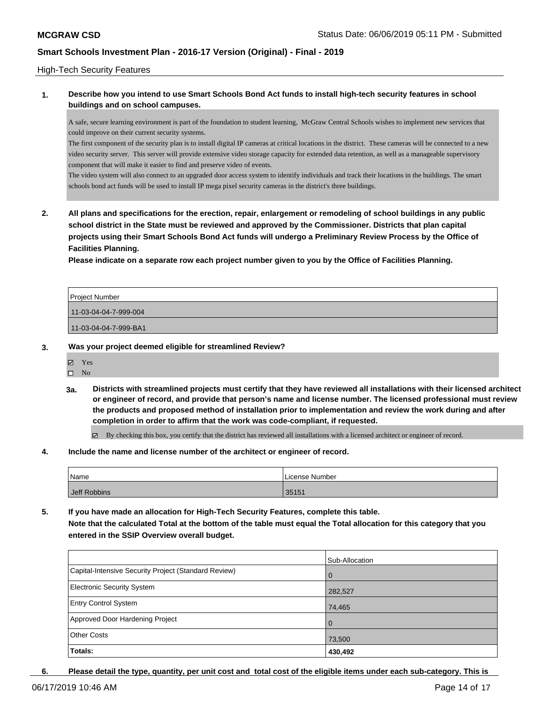### High-Tech Security Features

## **1. Describe how you intend to use Smart Schools Bond Act funds to install high-tech security features in school buildings and on school campuses.**

A safe, secure learning environment is part of the foundation to student learning, McGraw Central Schools wishes to implement new services that could improve on their current security systems.

The first component of the security plan is to install digital IP cameras at critical locations in the district. These cameras will be connected to a new video security server. This server will provide extensive video storage capacity for extended data retention, as well as a manageable supervisory component that will make it easier to find and preserve video of events.

The video system will also connect to an upgraded door access system to identify individuals and track their locations in the buildings. The smart schools bond act funds will be used to install IP mega pixel security cameras in the district's three buildings.

**2. All plans and specifications for the erection, repair, enlargement or remodeling of school buildings in any public school district in the State must be reviewed and approved by the Commissioner. Districts that plan capital projects using their Smart Schools Bond Act funds will undergo a Preliminary Review Process by the Office of Facilities Planning.** 

**Please indicate on a separate row each project number given to you by the Office of Facilities Planning.**

| Project Number        |  |
|-----------------------|--|
| 11-03-04-04-7-999-004 |  |
| 11-03-04-04-7-999-BA1 |  |
|                       |  |

#### **3. Was your project deemed eligible for streamlined Review?**

Yes

 $\square$  No

**3a. Districts with streamlined projects must certify that they have reviewed all installations with their licensed architect or engineer of record, and provide that person's name and license number. The licensed professional must review the products and proposed method of installation prior to implementation and review the work during and after completion in order to affirm that the work was code-compliant, if requested.**

By checking this box, you certify that the district has reviewed all installations with a licensed architect or engineer of record.

#### **4. Include the name and license number of the architect or engineer of record.**

| Name         | License Number |
|--------------|----------------|
| Jeff Robbins | 35151          |

**5. If you have made an allocation for High-Tech Security Features, complete this table. Note that the calculated Total at the bottom of the table must equal the Total allocation for this category that you entered in the SSIP Overview overall budget.**

|                                                      | Sub-Allocation |
|------------------------------------------------------|----------------|
| Capital-Intensive Security Project (Standard Review) | l 0            |
| <b>Electronic Security System</b>                    | 282,527        |
| <b>Entry Control System</b>                          | 74,465         |
| Approved Door Hardening Project                      | l O            |
| <b>Other Costs</b>                                   | 73,500         |
| Totals:                                              | 430,492        |

**6. Please detail the type, quantity, per unit cost and total cost of the eligible items under each sub-category. This is**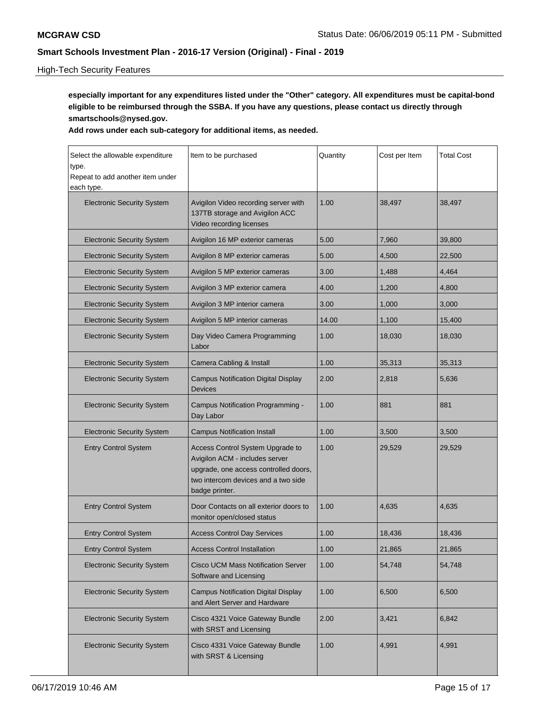## High-Tech Security Features

**especially important for any expenditures listed under the "Other" category. All expenditures must be capital-bond eligible to be reimbursed through the SSBA. If you have any questions, please contact us directly through smartschools@nysed.gov.**

| Select the allowable expenditure<br>type.<br>Repeat to add another item under<br>each type. | Item to be purchased                                                                                                                                                 | Quantity | Cost per Item | <b>Total Cost</b> |
|---------------------------------------------------------------------------------------------|----------------------------------------------------------------------------------------------------------------------------------------------------------------------|----------|---------------|-------------------|
| <b>Electronic Security System</b>                                                           | Avigilon Video recording server with<br>137TB storage and Avigilon ACC<br>Video recording licenses                                                                   | 1.00     | 38,497        | 38,497            |
| <b>Electronic Security System</b>                                                           | Avigilon 16 MP exterior cameras                                                                                                                                      | 5.00     | 7,960         | 39,800            |
| <b>Electronic Security System</b>                                                           | Avigilon 8 MP exterior cameras                                                                                                                                       | 5.00     | 4.500         | 22,500            |
| <b>Electronic Security System</b>                                                           | Avigilon 5 MP exterior cameras                                                                                                                                       | 3.00     | 1,488         | 4,464             |
| <b>Electronic Security System</b>                                                           | Avigilon 3 MP exterior camera                                                                                                                                        | 4.00     | 1,200         | 4,800             |
| <b>Electronic Security System</b>                                                           | Avigilon 3 MP interior camera                                                                                                                                        | 3.00     | 1,000         | 3,000             |
| <b>Electronic Security System</b>                                                           | Avigilon 5 MP interior cameras                                                                                                                                       | 14.00    | 1,100         | 15,400            |
| <b>Electronic Security System</b>                                                           | Day Video Camera Programming<br>Labor                                                                                                                                | 1.00     | 18,030        | 18,030            |
| <b>Electronic Security System</b>                                                           | Camera Cabling & Install                                                                                                                                             | 1.00     | 35,313        | 35,313            |
| <b>Electronic Security System</b>                                                           | <b>Campus Notification Digital Display</b><br><b>Devices</b>                                                                                                         | 2.00     | 2,818         | 5,636             |
| <b>Electronic Security System</b>                                                           | Campus Notification Programming -<br>Day Labor                                                                                                                       | 1.00     | 881           | 881               |
| <b>Electronic Security System</b>                                                           | <b>Campus Notification Install</b>                                                                                                                                   | 1.00     | 3,500         | 3,500             |
| <b>Entry Control System</b>                                                                 | Access Control System Upgrade to<br>Avigilon ACM - includes server<br>upgrade, one access controlled doors,<br>two intercom devices and a two side<br>badge printer. | 1.00     | 29,529        | 29,529            |
| <b>Entry Control System</b>                                                                 | Door Contacts on all exterior doors to<br>monitor open/closed status                                                                                                 | 1.00     | 4,635         | 4,635             |
| <b>Entry Control System</b>                                                                 | <b>Access Control Day Services</b>                                                                                                                                   | 1.00     | 18,436        | 18,436            |
| <b>Entry Control System</b>                                                                 | <b>Access Control Installation</b>                                                                                                                                   | 1.00     | 21,865        | 21,865            |
| <b>Electronic Security System</b>                                                           | <b>Cisco UCM Mass Notification Server</b><br>Software and Licensing                                                                                                  | 1.00     | 54,748        | 54,748            |
| <b>Electronic Security System</b>                                                           | <b>Campus Notification Digital Display</b><br>and Alert Server and Hardware                                                                                          | 1.00     | 6,500         | 6,500             |
| <b>Electronic Security System</b>                                                           | Cisco 4321 Voice Gateway Bundle<br>with SRST and Licensing                                                                                                           | 2.00     | 3,421         | 6,842             |
| <b>Electronic Security System</b>                                                           | Cisco 4331 Voice Gateway Bundle<br>with SRST & Licensing                                                                                                             | 1.00     | 4,991         | 4,991             |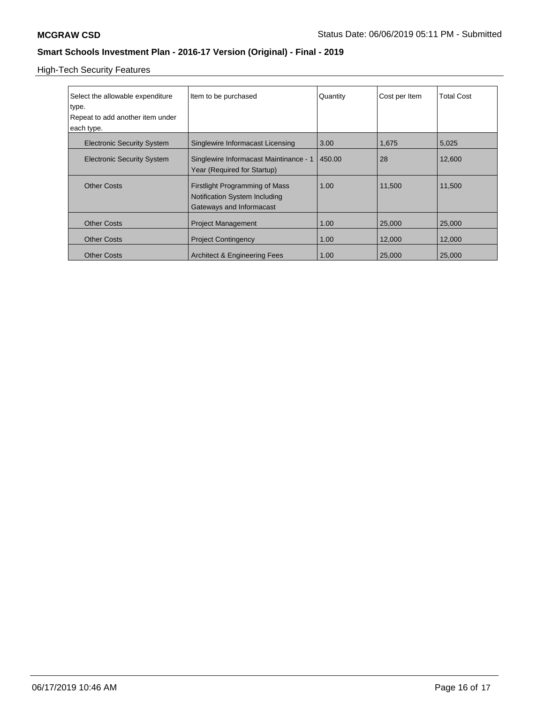High-Tech Security Features

| Select the allowable expenditure<br>type.<br>Repeat to add another item under<br>each type. | Item to be purchased                                                                        | Quantity | Cost per Item | <b>Total Cost</b> |
|---------------------------------------------------------------------------------------------|---------------------------------------------------------------------------------------------|----------|---------------|-------------------|
| <b>Electronic Security System</b>                                                           | Singlewire Informacast Licensing                                                            | 3.00     | 1,675         | 5,025             |
| <b>Electronic Security System</b>                                                           | Singlewire Informacast Maintinance - 1<br>Year (Required for Startup)                       | 450.00   | 28            | 12,600            |
| <b>Other Costs</b>                                                                          | Firstlight Programming of Mass<br>Notification System Including<br>Gateways and Informacast | 1.00     | 11,500        | 11,500            |
| <b>Other Costs</b>                                                                          | <b>Project Management</b>                                                                   | 1.00     | 25,000        | 25,000            |
| <b>Other Costs</b>                                                                          | <b>Project Contingency</b>                                                                  | 1.00     | 12,000        | 12,000            |
| <b>Other Costs</b>                                                                          | <b>Architect &amp; Engineering Fees</b>                                                     | 1.00     | 25,000        | 25,000            |